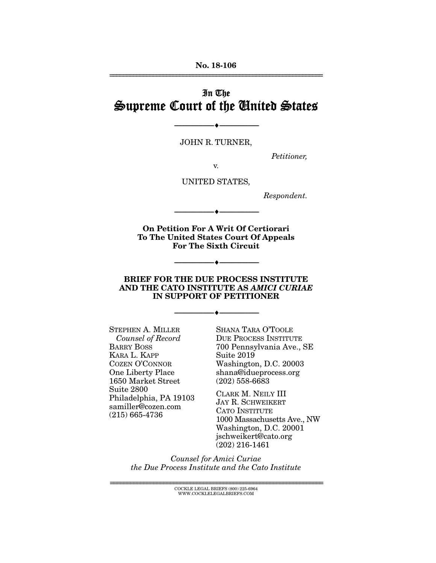No. 18-106 ================================================================

# In The Supreme Court of the United States

JOHN R. TURNER,

--------------------------------- ---------------------------------

*Petitioner,* 

v.

UNITED STATES,

--------------------------------- ---------------------------------

*Respondent.* 

On Petition For A Writ Of Certiorari To The United States Court Of Appeals For The Sixth Circuit

#### BRIEF FOR THE DUE PROCESS INSTITUTE AND THE CATO INSTITUTE AS *AMICI CURIAE* IN SUPPORT OF PETITIONER

--------------------------------- ---------------------------------

--------------------------------- ---------------------------------

STEPHEN A. MILLER *Counsel of Record*  BARRY BOSS KARA L. KAPP COZEN O'CONNOR One Liberty Place 1650 Market Street Suite 2800 Philadelphia, PA 19103 samiller@cozen.com (215) 665-4736

SHANA TARA O'TOOLE DUE PROCESS INSTITUTE 700 Pennsylvania Ave., SE Suite 2019 Washington, D.C. 20003 shana@idueprocess.org (202) 558-6683

CLARK M. NEILY III JAY R. SCHWEIKERT CATO INSTITUTE 1000 Massachusetts Ave., NW Washington, D.C. 20001 jschweikert@cato.org (202) 216-1461

*Counsel for Amici Curiae the Due Process Institute and the Cato Institute* 

> ================================================================ COCKLE LEGAL BRIEFS (800) 225-6964 WWW.COCKLELEGALBRIEFS.COM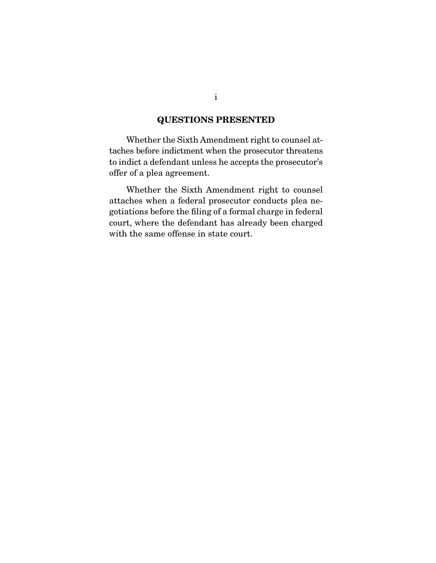## QUESTIONS PRESENTED

 Whether the Sixth Amendment right to counsel attaches before indictment when the prosecutor threatens to indict a defendant unless he accepts the prosecutor's offer of a plea agreement.

 Whether the Sixth Amendment right to counsel attaches when a federal prosecutor conducts plea negotiations before the filing of a formal charge in federal court, where the defendant has already been charged with the same offense in state court.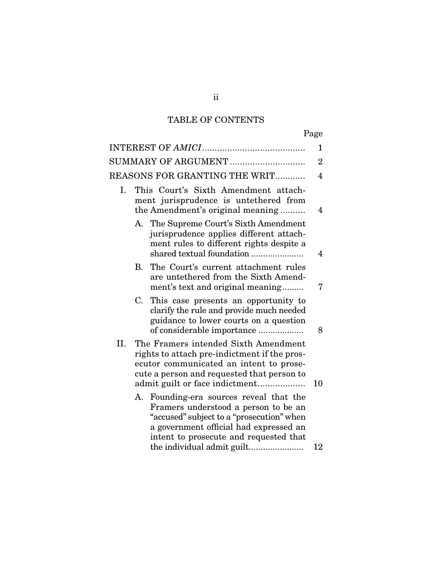# TABLE OF CONTENTS

|                     |                                                                                                                                                                                                                 |                                                                                                                                                                                                               | 1              |
|---------------------|-----------------------------------------------------------------------------------------------------------------------------------------------------------------------------------------------------------------|---------------------------------------------------------------------------------------------------------------------------------------------------------------------------------------------------------------|----------------|
| SUMMARY OF ARGUMENT |                                                                                                                                                                                                                 |                                                                                                                                                                                                               |                |
|                     |                                                                                                                                                                                                                 | <b>REASONS FOR GRANTING THE WRIT</b>                                                                                                                                                                          | $\overline{4}$ |
| Ι.                  |                                                                                                                                                                                                                 | This Court's Sixth Amendment attach-<br>ment jurisprudence is untethered from<br>the Amendment's original meaning                                                                                             | $\overline{4}$ |
|                     |                                                                                                                                                                                                                 | A. The Supreme Court's Sixth Amendment<br>jurisprudence applies different attach-<br>ment rules to different rights despite a<br>shared textual foundation                                                    | 4              |
|                     | B.                                                                                                                                                                                                              | The Court's current attachment rules<br>are untethered from the Sixth Amend-<br>ment's text and original meaning                                                                                              | 7              |
|                     | C.                                                                                                                                                                                                              | This case presents an opportunity to<br>clarify the rule and provide much needed<br>guidance to lower courts on a question<br>of considerable importance                                                      | 8              |
| II.                 | The Framers intended Sixth Amendment<br>rights to attach pre-indictment if the pros-<br>ecutor communicated an intent to prose-<br>cute a person and requested that person to<br>admit guilt or face indictment |                                                                                                                                                                                                               | 10             |
|                     | А.                                                                                                                                                                                                              | Founding-era sources reveal that the<br>Framers understood a person to be an<br>"accused" subject to a "prosecution" when<br>a government official had expressed an<br>intent to prosecute and requested that |                |
|                     |                                                                                                                                                                                                                 | the individual admit guilt                                                                                                                                                                                    | 12             |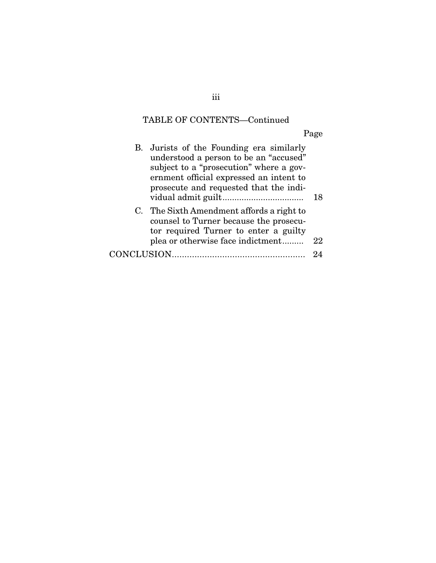# TABLE OF CONTENTS—Continued

Page

|             | B. Jurists of the Founding era similarly<br>understood a person to be an "accused"<br>subject to a "prosecution" where a gov-<br>ernment official expressed an intent to<br>prosecute and requested that the indi- | 18 |
|-------------|--------------------------------------------------------------------------------------------------------------------------------------------------------------------------------------------------------------------|----|
|             | C. The Sixth Amendment affords a right to<br>counsel to Turner because the prosecu-<br>tor required Turner to enter a guilty<br>plea or otherwise face indictment                                                  | 22 |
| CONCLUSION. |                                                                                                                                                                                                                    | 94 |

iii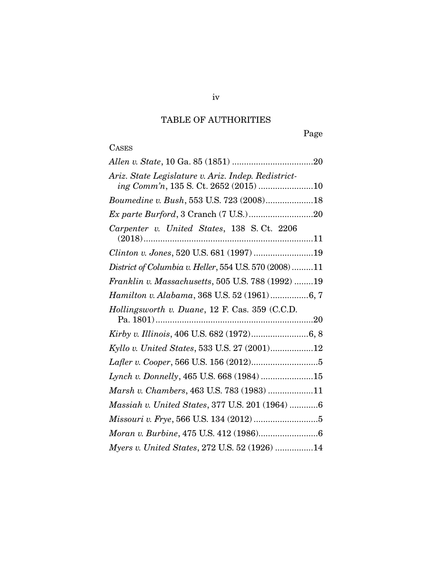## TABLE OF AUTHORITIES

Page

# **CASES**

| Ariz. State Legislature v. Ariz. Indep. Redistrict-<br>ing Comm'n, 135 S. Ct. 2652 (2015) 10 |  |
|----------------------------------------------------------------------------------------------|--|
| Boumedine v. Bush, 553 U.S. 723 (2008)18                                                     |  |
|                                                                                              |  |
| Carpenter v. United States, 138 S.Ct. 2206                                                   |  |
| Clinton v. Jones, 520 U.S. 681 (1997) 19                                                     |  |
| District of Columbia v. Heller, 554 U.S. 570 (2008) 11                                       |  |
| Franklin v. Massachusetts, 505 U.S. 788 (1992) 19                                            |  |
| Hamilton v. Alabama, 368 U.S. 52 (1961) 6, 7                                                 |  |
| Hollingsworth v. Duane, 12 F. Cas. 359 (C.C.D.                                               |  |
|                                                                                              |  |
| Kyllo v. United States, 533 U.S. 27 (2001)12                                                 |  |
|                                                                                              |  |
| Lynch v. Donnelly, 465 U.S. 668 (1984) 15                                                    |  |
| Marsh v. Chambers, 463 U.S. 783 (1983) 11                                                    |  |
| Massiah v. United States, 377 U.S. 201 (1964) 6                                              |  |
|                                                                                              |  |
|                                                                                              |  |
| Myers v. United States, 272 U.S. 52 (1926) 14                                                |  |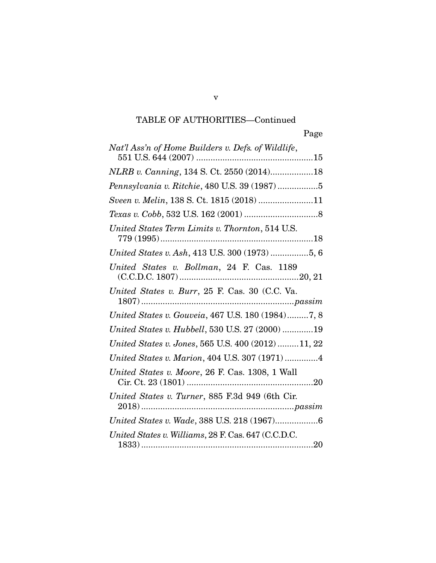# TABLE OF AUTHORITIES—Continued

v

| Nat'l Ass'n of Home Builders v. Defs. of Wildlife,  |
|-----------------------------------------------------|
| NLRB v. Canning, 134 S. Ct. 2550 (2014)18           |
| Pennsylvania v. Ritchie, 480 U.S. 39 (1987) 5       |
| Sveen v. Melin, 138 S. Ct. 1815 (2018) 11           |
|                                                     |
| United States Term Limits v. Thornton, 514 U.S.     |
| United States v. Ash, 413 U.S. 300 (1973) 5, 6      |
| United States v. Bollman, 24 F. Cas. 1189           |
| United States v. Burr, 25 F. Cas. 30 (C.C. Va.      |
| United States v. Gouveia, 467 U.S. 180 (1984)7, 8   |
| United States v. Hubbell, 530 U.S. 27 (2000) 19     |
| United States v. Jones, 565 U.S. 400 (2012) 11, 22  |
| United States v. Marion, 404 U.S. 307 (1971) 4      |
| United States v. Moore, 26 F. Cas. 1308, 1 Wall     |
| United States v. Turner, 885 F.3d 949 (6th Cir.     |
| United States v. Wade, 388 U.S. 218 (1967)6         |
| United States v. Williams, 28 F. Cas. 647 (C.C.D.C. |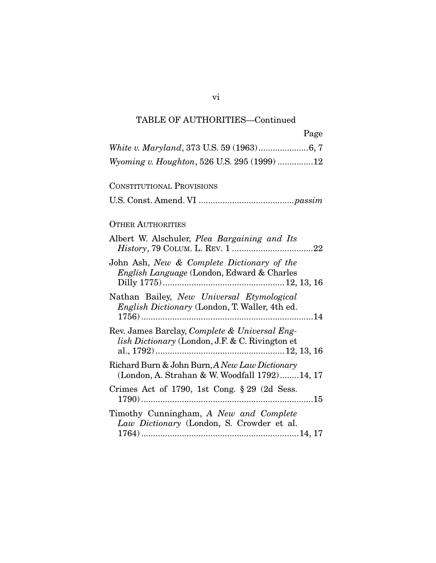## TABLE OF AUTHORITIES—Continued

| Page                                                                                                               |
|--------------------------------------------------------------------------------------------------------------------|
|                                                                                                                    |
| Wyoming v. Houghton, 526 U.S. 295 (1999) 12                                                                        |
| <b>CONSTITUTIONAL PROVISIONS</b>                                                                                   |
|                                                                                                                    |
| <b>OTHER AUTHORITIES</b>                                                                                           |
| Albert W. Alschuler, <i>Plea Bargaining and Its</i>                                                                |
| John Ash, New & Complete Dictionary of the<br>English Language (London, Edward & Charles                           |
| Nathan Bailey, New Universal Etymological<br>English Dictionary (London, T. Waller, 4th ed.                        |
| Rev. James Barclay, <i>Complete &amp; Universal Eng-</i><br><i>lish Dictionary</i> (London, J.F. & C. Rivington et |
| Richard Burn & John Burn, A New Law Dictionary<br>(London, A. Strahan & W. Woodfall 1792)14, 17                    |
| Crimes Act of 1790, 1st Cong. $\S 29$ (2d Sess.                                                                    |
| Timothy Cunningham, A New and Complete<br>Law Dictionary (London, S. Crowder et al.                                |

vi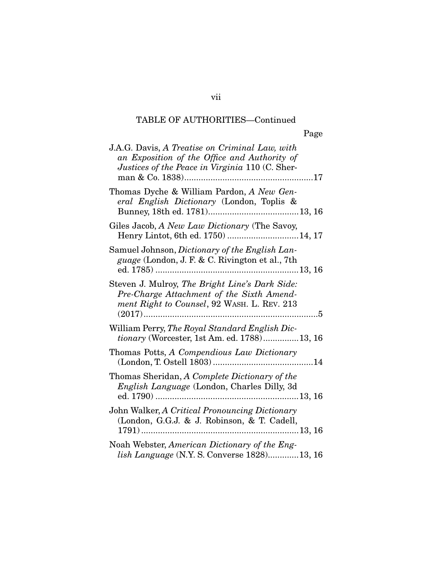#### TABLE OF AUTHORITIES—Continued

| J.A.G. Davis, A Treatise on Criminal Law, with<br>an Exposition of the Office and Authority of<br>Justices of the Peace in Virginia 110 (C. Sher- |
|---------------------------------------------------------------------------------------------------------------------------------------------------|
| Thomas Dyche & William Pardon, A New Gen-<br>eral English Dictionary (London, Toplis &                                                            |
| Giles Jacob, A New Law Dictionary (The Savoy,<br>Henry Lintot, 6th ed. 1750)  14, 17                                                              |
| Samuel Johnson, Dictionary of the English Lan-<br><i>guage</i> (London, J. F. & C. Rivington et al., 7th                                          |
| Steven J. Mulroy, The Bright Line's Dark Side:<br>Pre-Charge Attachment of the Sixth Amend-<br>ment Right to Counsel, 92 WASH. L. REV. 213        |
| William Perry, The Royal Standard English Dic-<br>tionary (Worcester, 1st Am. ed. 1788)13, 16                                                     |
| Thomas Potts A Compendious Law Dictionary                                                                                                         |

Page

Henry Lintot, 6th ed. 1750) .............................. 14, 17 Samuel Johnson, *guage* (London, ed. 1785) ............................................................ 13, 16 Steven J. Mulroy, *Pre-Charge Attachment of the Sixth Amendment Right to C* (2017) ......................................................................... 5 William Perry, *The tionary* (Worcester, 1st Am. ed. 1788) ............... 13, 16 Thomas Potts, *A Compendious Law Dictionary*  (London, T. Ostell 1803) .......................................... 14 Thomas Sheridan, *A Complete Dictionary of the English Language* (London, Charles Dilly, 3d ed. 1790) ............................................................ 13, 16 John Walker, *A Critical Pronouncing Dictionary*  (London, G.G.J. & J. Robinson, & T. Cadell, 1791) .................................................................. 13, 16

Noah Webster, *American Dictionary of the English Language* (N.Y. S. Converse 1828) ............. 13, 16

vii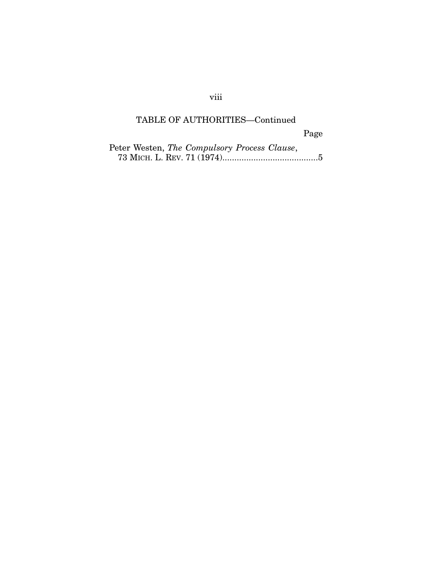## viii

## TABLE OF AUTHORITIES—Continued

Page

| Peter Westen, The Compulsory Process Clause, |
|----------------------------------------------|
|                                              |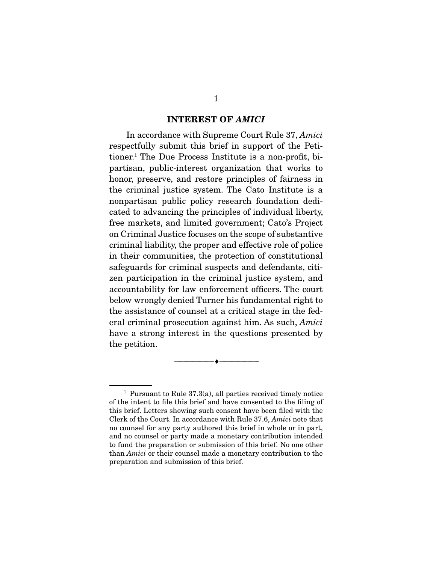#### INTEREST OF *AMICI*

 In accordance with Supreme Court Rule 37, *Amici* respectfully submit this brief in support of the Petitioner.1 The Due Process Institute is a non-profit, bipartisan, public-interest organization that works to honor, preserve, and restore principles of fairness in the criminal justice system. The Cato Institute is a nonpartisan public policy research foundation dedicated to advancing the principles of individual liberty, free markets, and limited government; Cato's Project on Criminal Justice focuses on the scope of substantive criminal liability, the proper and effective role of police in their communities, the protection of constitutional safeguards for criminal suspects and defendants, citizen participation in the criminal justice system, and accountability for law enforcement officers. The court below wrongly denied Turner his fundamental right to the assistance of counsel at a critical stage in the federal criminal prosecution against him. As such, *Amici* have a strong interest in the questions presented by the petition.

--------------------------------- ---------------------------------

<sup>&</sup>lt;sup>1</sup> Pursuant to Rule  $37.3(a)$ , all parties received timely notice of the intent to file this brief and have consented to the filing of this brief. Letters showing such consent have been filed with the Clerk of the Court. In accordance with Rule 37.6, *Amici* note that no counsel for any party authored this brief in whole or in part, and no counsel or party made a monetary contribution intended to fund the preparation or submission of this brief. No one other than *Amici* or their counsel made a monetary contribution to the preparation and submission of this brief.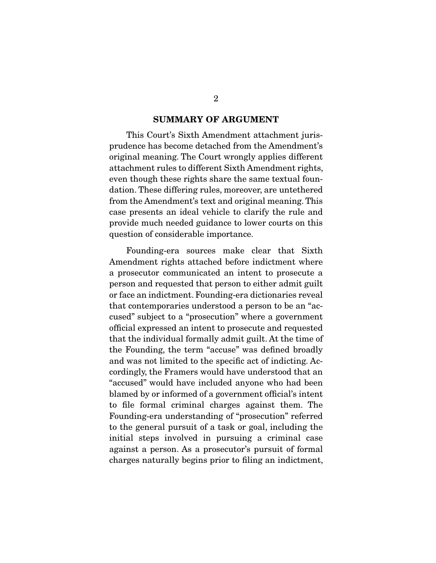#### SUMMARY OF ARGUMENT

 This Court's Sixth Amendment attachment jurisprudence has become detached from the Amendment's original meaning. The Court wrongly applies different attachment rules to different Sixth Amendment rights, even though these rights share the same textual foundation. These differing rules, moreover, are untethered from the Amendment's text and original meaning. This case presents an ideal vehicle to clarify the rule and provide much needed guidance to lower courts on this question of considerable importance.

 Founding-era sources make clear that Sixth Amendment rights attached before indictment where a prosecutor communicated an intent to prosecute a person and requested that person to either admit guilt or face an indictment. Founding-era dictionaries reveal that contemporaries understood a person to be an "accused" subject to a "prosecution" where a government official expressed an intent to prosecute and requested that the individual formally admit guilt. At the time of the Founding, the term "accuse" was defined broadly and was not limited to the specific act of indicting. Accordingly, the Framers would have understood that an "accused" would have included anyone who had been blamed by or informed of a government official's intent to file formal criminal charges against them. The Founding-era understanding of "prosecution" referred to the general pursuit of a task or goal, including the initial steps involved in pursuing a criminal case against a person. As a prosecutor's pursuit of formal charges naturally begins prior to filing an indictment,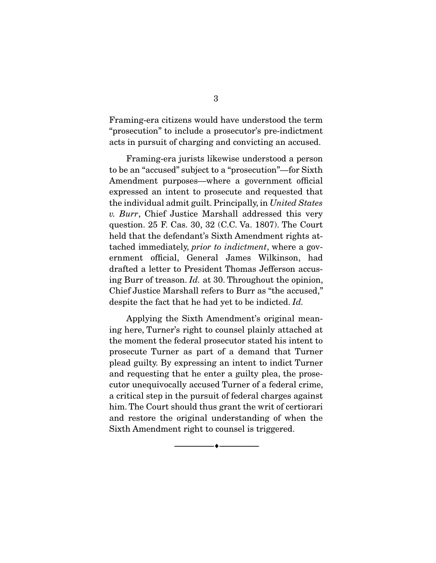Framing-era citizens would have understood the term "prosecution" to include a prosecutor's pre-indictment acts in pursuit of charging and convicting an accused.

 Framing-era jurists likewise understood a person to be an "accused" subject to a "prosecution"—for Sixth Amendment purposes—where a government official expressed an intent to prosecute and requested that the individual admit guilt. Principally, in *United States v. Burr*, Chief Justice Marshall addressed this very question. 25 F. Cas. 30, 32 (C.C. Va. 1807). The Court held that the defendant's Sixth Amendment rights attached immediately, *prior to indictment*, where a government official, General James Wilkinson, had drafted a letter to President Thomas Jefferson accusing Burr of treason. *Id.* at 30. Throughout the opinion, Chief Justice Marshall refers to Burr as "the accused," despite the fact that he had yet to be indicted. *Id.*

 Applying the Sixth Amendment's original meaning here, Turner's right to counsel plainly attached at the moment the federal prosecutor stated his intent to prosecute Turner as part of a demand that Turner plead guilty. By expressing an intent to indict Turner and requesting that he enter a guilty plea, the prosecutor unequivocally accused Turner of a federal crime, a critical step in the pursuit of federal charges against him. The Court should thus grant the writ of certiorari and restore the original understanding of when the Sixth Amendment right to counsel is triggered.

--------------------------------- ---------------------------------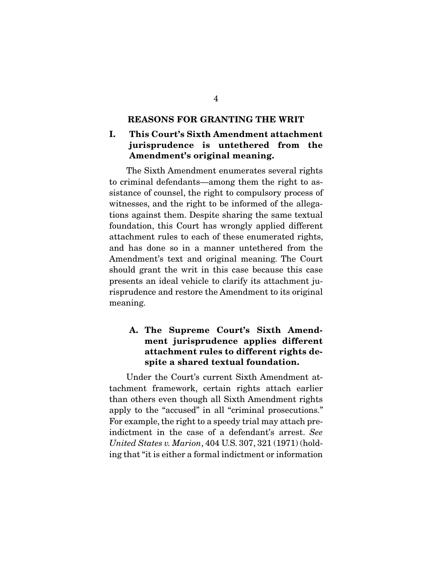#### REASONS FOR GRANTING THE WRIT

## I. This Court's Sixth Amendment attachment jurisprudence is untethered from the Amendment's original meaning.

 The Sixth Amendment enumerates several rights to criminal defendants—among them the right to assistance of counsel, the right to compulsory process of witnesses, and the right to be informed of the allegations against them. Despite sharing the same textual foundation, this Court has wrongly applied different attachment rules to each of these enumerated rights, and has done so in a manner untethered from the Amendment's text and original meaning. The Court should grant the writ in this case because this case presents an ideal vehicle to clarify its attachment jurisprudence and restore the Amendment to its original meaning.

## A. The Supreme Court's Sixth Amendment jurisprudence applies different attachment rules to different rights despite a shared textual foundation.

 Under the Court's current Sixth Amendment attachment framework, certain rights attach earlier than others even though all Sixth Amendment rights apply to the "accused" in all "criminal prosecutions." For example, the right to a speedy trial may attach preindictment in the case of a defendant's arrest. *See United States v. Marion*, 404 U.S. 307, 321 (1971) (holding that "it is either a formal indictment or information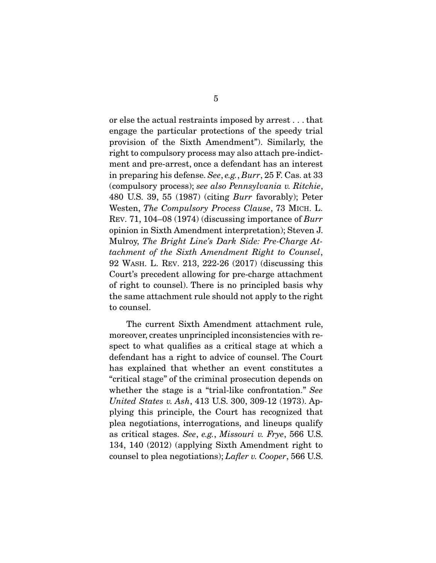or else the actual restraints imposed by arrest . . . that engage the particular protections of the speedy trial provision of the Sixth Amendment"). Similarly, the right to compulsory process may also attach pre-indictment and pre-arrest, once a defendant has an interest in preparing his defense. *See*, *e.g.*, *Burr*, 25 F. Cas. at 33 (compulsory process); *see also Pennsylvania v. Ritchie*, 480 U.S. 39, 55 (1987) (citing *Burr* favorably); Peter Westen, *The Compulsory Process Clause*, 73 MICH. L. REV. 71, 104–08 (1974) (discussing importance of *Burr* opinion in Sixth Amendment interpretation); Steven J. Mulroy, *The Bright Line's Dark Side: Pre-Charge Attachment of the Sixth Amendment Right to Counsel*, 92 WASH. L. REV. 213, 222-26 (2017) (discussing this Court's precedent allowing for pre-charge attachment of right to counsel). There is no principled basis why the same attachment rule should not apply to the right to counsel.

 The current Sixth Amendment attachment rule, moreover, creates unprincipled inconsistencies with respect to what qualifies as a critical stage at which a defendant has a right to advice of counsel. The Court has explained that whether an event constitutes a "critical stage" of the criminal prosecution depends on whether the stage is a "trial-like confrontation." *See United States v. Ash*, 413 U.S. 300, 309-12 (1973). Applying this principle, the Court has recognized that plea negotiations, interrogations, and lineups qualify as critical stages. *See*, *e.g.*, *Missouri v. Frye*, 566 U.S. 134, 140 (2012) (applying Sixth Amendment right to counsel to plea negotiations); *Lafler v. Cooper*, 566 U.S.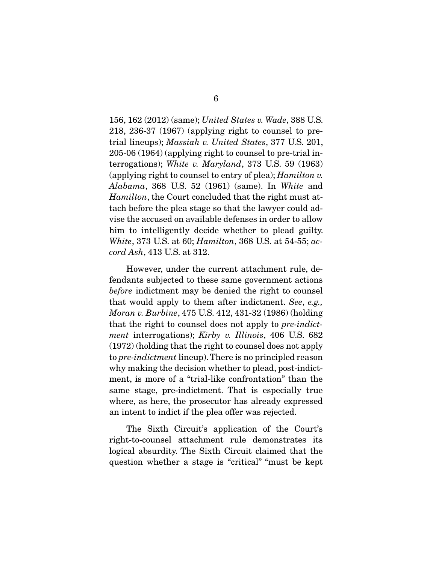156, 162 (2012) (same); *United States v. Wade*, 388 U.S. 218, 236-37 (1967) (applying right to counsel to pretrial lineups); *Massiah v. United States*, 377 U.S. 201, 205-06 (1964) (applying right to counsel to pre-trial interrogations); *White v. Maryland*, 373 U.S. 59 (1963) (applying right to counsel to entry of plea); *Hamilton v. Alabama*, 368 U.S. 52 (1961) (same). In *White* and *Hamilton*, the Court concluded that the right must attach before the plea stage so that the lawyer could advise the accused on available defenses in order to allow him to intelligently decide whether to plead guilty. *White*, 373 U.S. at 60; *Hamilton*, 368 U.S. at 54-55; *accord Ash*, 413 U.S. at 312.

 However, under the current attachment rule, defendants subjected to these same government actions *before* indictment may be denied the right to counsel that would apply to them after indictment. *See*, *e.g., Moran v. Burbine*, 475 U.S. 412, 431-32 (1986) (holding that the right to counsel does not apply to *pre-indictment* interrogations); *Kirby v. Illinois*, 406 U.S. 682 (1972) (holding that the right to counsel does not apply to *pre-indictment* lineup). There is no principled reason why making the decision whether to plead, post-indictment, is more of a "trial-like confrontation" than the same stage, pre-indictment. That is especially true where, as here, the prosecutor has already expressed an intent to indict if the plea offer was rejected.

 The Sixth Circuit's application of the Court's right-to-counsel attachment rule demonstrates its logical absurdity. The Sixth Circuit claimed that the question whether a stage is "critical" "must be kept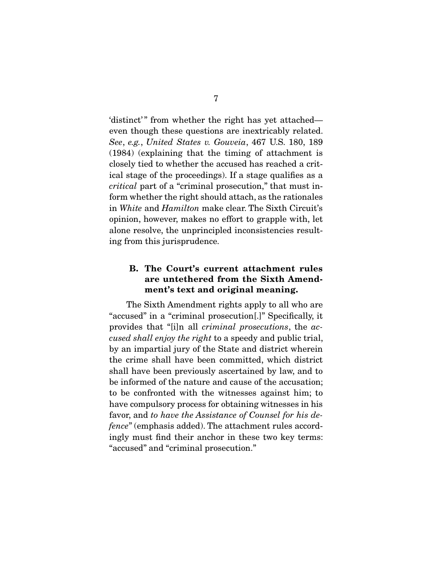'distinct' " from whether the right has yet attached even though these questions are inextricably related. *See*, *e.g.*, *United States v. Gouveia*, 467 U.S. 180, 189 (1984) (explaining that the timing of attachment is closely tied to whether the accused has reached a critical stage of the proceedings). If a stage qualifies as a *critical* part of a "criminal prosecution," that must inform whether the right should attach, as the rationales in *White* and *Hamilton* make clear. The Sixth Circuit's opinion, however, makes no effort to grapple with, let alone resolve, the unprincipled inconsistencies resulting from this jurisprudence.

### B. The Court's current attachment rules are untethered from the Sixth Amendment's text and original meaning.

 The Sixth Amendment rights apply to all who are "accused" in a "criminal prosecution[.]" Specifically, it provides that "[i]n all *criminal prosecutions*, the *accused shall enjoy the right* to a speedy and public trial, by an impartial jury of the State and district wherein the crime shall have been committed, which district shall have been previously ascertained by law, and to be informed of the nature and cause of the accusation; to be confronted with the witnesses against him; to have compulsory process for obtaining witnesses in his favor, and *to have the Assistance of Counsel for his defence*" (emphasis added). The attachment rules accordingly must find their anchor in these two key terms: "accused" and "criminal prosecution."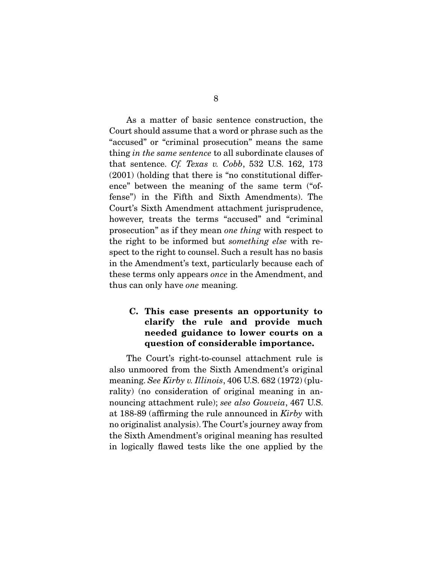As a matter of basic sentence construction, the Court should assume that a word or phrase such as the "accused" or "criminal prosecution" means the same thing *in the same sentence* to all subordinate clauses of that sentence. *Cf. Texas v. Cobb*, 532 U.S. 162, 173 (2001) (holding that there is "no constitutional difference" between the meaning of the same term ("offense") in the Fifth and Sixth Amendments). The Court's Sixth Amendment attachment jurisprudence, however, treats the terms "accused" and "criminal prosecution" as if they mean *one thing* with respect to the right to be informed but *something else* with respect to the right to counsel. Such a result has no basis in the Amendment's text, particularly because each of these terms only appears *once* in the Amendment, and thus can only have *one* meaning.

## C. This case presents an opportunity to clarify the rule and provide much needed guidance to lower courts on a question of considerable importance.

 The Court's right-to-counsel attachment rule is also unmoored from the Sixth Amendment's original meaning. *See Kirby v. Illinois*, 406 U.S. 682 (1972) (plurality) (no consideration of original meaning in announcing attachment rule); *see also Gouveia*, 467 U.S. at 188-89 (affirming the rule announced in *Kirby* with no originalist analysis). The Court's journey away from the Sixth Amendment's original meaning has resulted in logically flawed tests like the one applied by the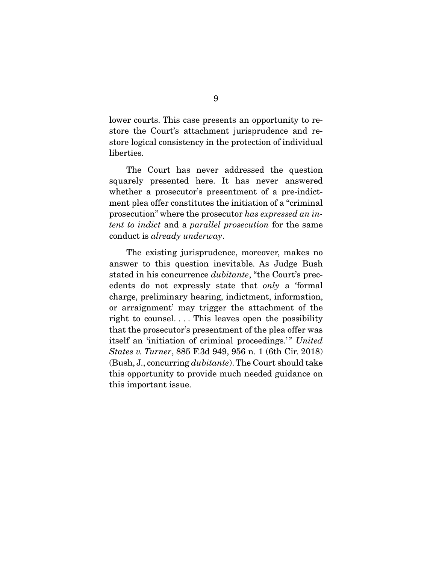lower courts. This case presents an opportunity to restore the Court's attachment jurisprudence and restore logical consistency in the protection of individual liberties.

 The Court has never addressed the question squarely presented here. It has never answered whether a prosecutor's presentment of a pre-indictment plea offer constitutes the initiation of a "criminal prosecution" where the prosecutor *has expressed an intent to indict* and a *parallel prosecution* for the same conduct is *already underway*.

 The existing jurisprudence, moreover, makes no answer to this question inevitable. As Judge Bush stated in his concurrence *dubitante*, "the Court's precedents do not expressly state that *only* a 'formal charge, preliminary hearing, indictment, information, or arraignment' may trigger the attachment of the right to counsel.... This leaves open the possibility that the prosecutor's presentment of the plea offer was itself an 'initiation of criminal proceedings.'" United *States v. Turner*, 885 F.3d 949, 956 n. 1 (6th Cir. 2018) (Bush, J., concurring *dubitante*). The Court should take this opportunity to provide much needed guidance on this important issue.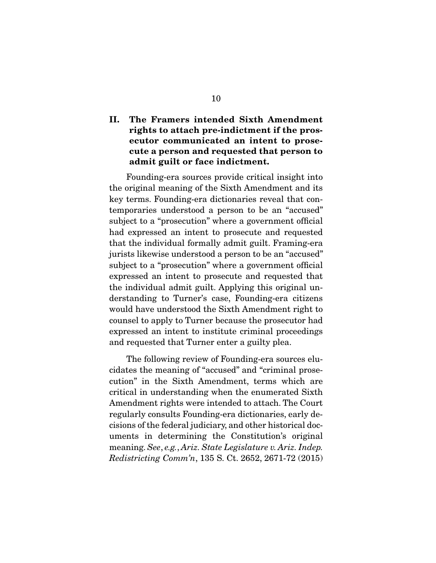## II. The Framers intended Sixth Amendment rights to attach pre-indictment if the prosecutor communicated an intent to prosecute a person and requested that person to admit guilt or face indictment.

 Founding-era sources provide critical insight into the original meaning of the Sixth Amendment and its key terms. Founding-era dictionaries reveal that contemporaries understood a person to be an "accused" subject to a "prosecution" where a government official had expressed an intent to prosecute and requested that the individual formally admit guilt. Framing-era jurists likewise understood a person to be an "accused" subject to a "prosecution" where a government official expressed an intent to prosecute and requested that the individual admit guilt. Applying this original understanding to Turner's case, Founding-era citizens would have understood the Sixth Amendment right to counsel to apply to Turner because the prosecutor had expressed an intent to institute criminal proceedings and requested that Turner enter a guilty plea.

 The following review of Founding-era sources elucidates the meaning of "accused" and "criminal prosecution" in the Sixth Amendment, terms which are critical in understanding when the enumerated Sixth Amendment rights were intended to attach. The Court regularly consults Founding-era dictionaries, early decisions of the federal judiciary, and other historical documents in determining the Constitution's original meaning. *See*, *e.g.*, *Ariz. State Legislature v. Ariz. Indep. Redistricting Comm'n*, 135 S. Ct. 2652, 2671-72 (2015)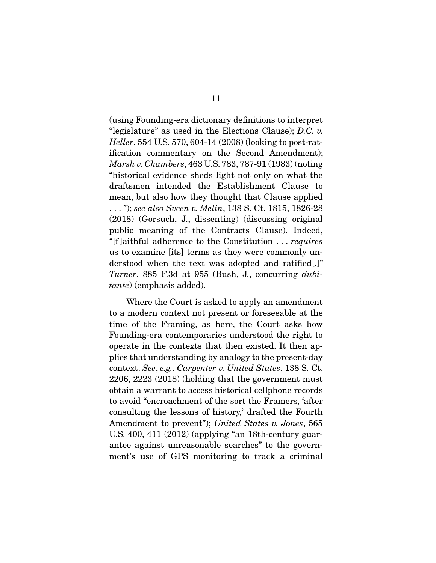(using Founding-era dictionary definitions to interpret "legislature" as used in the Elections Clause); *D.C. v. Heller*, 554 U.S. 570, 604-14 (2008) (looking to post-ratification commentary on the Second Amendment); *Marsh v. Chambers*, 463 U.S. 783, 787-91 (1983) (noting "historical evidence sheds light not only on what the draftsmen intended the Establishment Clause to mean, but also how they thought that Clause applied . . . "); *see also Sveen v. Melin*, 138 S. Ct. 1815, 1826-28 (2018) (Gorsuch, J., dissenting) (discussing original public meaning of the Contracts Clause). Indeed, *"*[f ]aithful adherence to the Constitution . . . *requires* us to examine [its] terms as they were commonly understood when the text was adopted and ratified[.]" *Turner*, 885 F.3d at 955 (Bush, J., concurring *dubitante*) (emphasis added).

 Where the Court is asked to apply an amendment to a modern context not present or foreseeable at the time of the Framing, as here, the Court asks how Founding-era contemporaries understood the right to operate in the contexts that then existed. It then applies that understanding by analogy to the present-day context. *See*, *e.g.*, *Carpenter v. United States*, 138 S. Ct. 2206, 2223 (2018) (holding that the government must obtain a warrant to access historical cellphone records to avoid "encroachment of the sort the Framers, 'after consulting the lessons of history,' drafted the Fourth Amendment to prevent"); *United States v. Jones*, 565 U.S. 400, 411 (2012) (applying "an 18th-century guarantee against unreasonable searches" to the government's use of GPS monitoring to track a criminal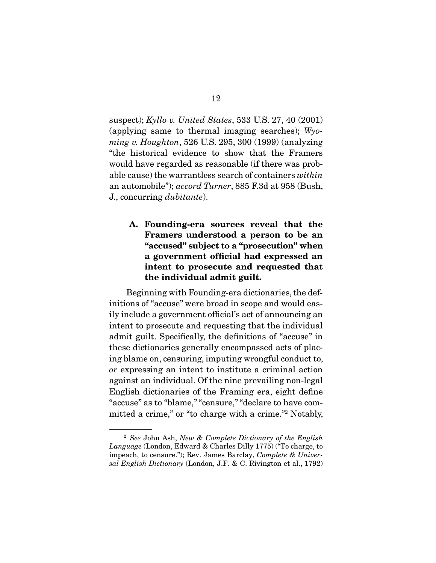suspect); *Kyllo v. United States*, 533 U.S. 27, 40 (2001) (applying same to thermal imaging searches); *Wyoming v. Houghton*, 526 U.S. 295, 300 (1999) (analyzing "the historical evidence to show that the Framers would have regarded as reasonable (if there was probable cause) the warrantless search of containers *within* an automobile"); *accord Turner*, 885 F.3d at 958 (Bush, J., concurring *dubitante*).

## A. Founding-era sources reveal that the Framers understood a person to be an "accused" subject to a "prosecution" when a government official had expressed an intent to prosecute and requested that the individual admit guilt.

 Beginning with Founding-era dictionaries, the definitions of "accuse" were broad in scope and would easily include a government official's act of announcing an intent to prosecute and requesting that the individual admit guilt. Specifically, the definitions of "accuse" in these dictionaries generally encompassed acts of placing blame on, censuring, imputing wrongful conduct to, *or* expressing an intent to institute a criminal action against an individual. Of the nine prevailing non-legal English dictionaries of the Framing era, eight define "accuse" as to "blame," "censure," "declare to have committed a crime," or "to charge with a crime."<sup>2</sup> Notably,

<sup>2</sup> *See* John Ash, *New & Complete Dictionary of the English Language* (London, Edward & Charles Dilly 1775) ("To charge, to impeach, to censure."); Rev. James Barclay, *Complete & Universal English Dictionary* (London, J.F. & C. Rivington et al., 1792)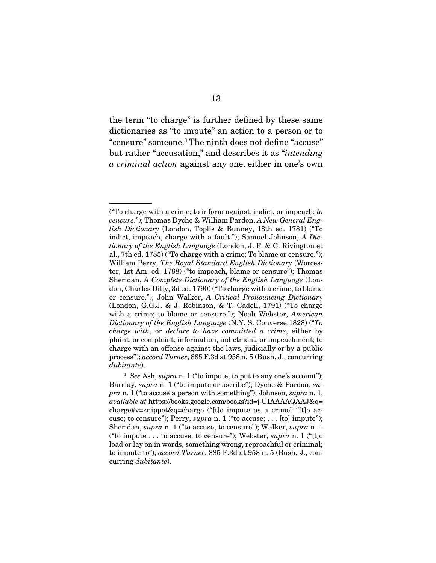the term "to charge" is further defined by these same dictionaries as "to impute" an action to a person or to "censure" someone.3 The ninth does not define "accuse" but rather "accusation," and describes it as "*intending a criminal action* against any one, either in one's own

<sup>(&</sup>quot;To charge with a crime; to inform against, indict, or impeach; *to censure*."); Thomas Dyche & William Pardon, *A New General English Dictionary* (London, Toplis & Bunney, 18th ed. 1781) ("To indict, impeach, charge with a fault."); Samuel Johnson, *A Dictionary of the English Language* (London, J. F. & C. Rivington et al., 7th ed. 1785) ("To charge with a crime; To blame or censure."); William Perry, *The Royal Standard English Dictionary* (Worcester, 1st Am. ed. 1788) ("to impeach, blame or censure"); Thomas Sheridan, *A Complete Dictionary of the English Language* (London, Charles Dilly, 3d ed. 1790) ("To charge with a crime; to blame or censure."); John Walker, *A Critical Pronouncing Dictionary*  (London, G.G.J. & J. Robinson, & T. Cadell, 1791) ("To charge with a crime; to blame or censure."); Noah Webster, *American Dictionary of the English Language* (N.Y. S. Converse 1828) ("*To charge with*, or *declare to have committed a crime*, either by plaint, or complaint, information, indictment, or impeachment; to charge with an offense against the laws, judicially or by a public process"); *accord Turner*, 885 F.3d at 958 n. 5 (Bush, J., concurring *dubitante*).

<sup>3</sup> *See* Ash, *supra* n. 1 ("to impute, to put to any one's account"); Barclay, *supra* n. 1 ("to impute or ascribe"); Dyche & Pardon, *supra* n. 1 ("to accuse a person with something"); Johnson, *supra* n. 1, *available at* https://books.google.com/books?id=j-UIAAAAQAAJ&q= charge#v=snippet&q=charge ("[t]o impute as a crime" "[t]o accuse; to censure"); Perry, *supra* n. 1 ("to accuse; . . . [to] impute"); Sheridan, *supra* n. 1 ("to accuse, to censure"); Walker, *supra* n. 1 ("to impute . . . to accuse, to censure"); Webster, *supra* n. 1 ("[t]o load or lay on in words, something wrong, reproachful or criminal; to impute to"); *accord Turner*, 885 F.3d at 958 n. 5 (Bush, J., concurring *dubitante*).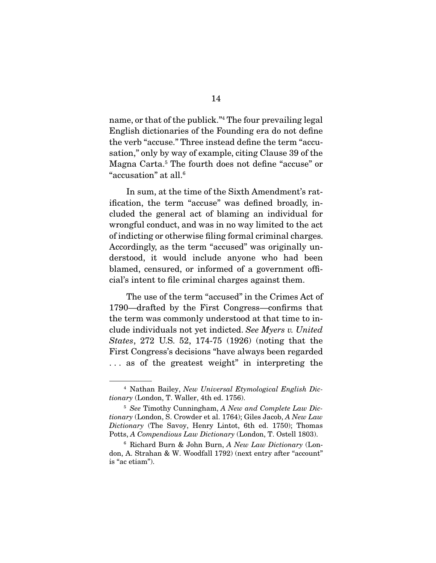name, or that of the publick."4 The four prevailing legal English dictionaries of the Founding era do not define the verb "accuse." Three instead define the term "accusation," only by way of example, citing Clause 39 of the Magna Carta.5 The fourth does not define "accuse" or "accusation" at all.6

 In sum, at the time of the Sixth Amendment's ratification, the term "accuse" was defined broadly, included the general act of blaming an individual for wrongful conduct, and was in no way limited to the act of indicting or otherwise filing formal criminal charges. Accordingly, as the term "accused" was originally understood, it would include anyone who had been blamed, censured, or informed of a government official's intent to file criminal charges against them.

 The use of the term "accused" in the Crimes Act of 1790—drafted by the First Congress—confirms that the term was commonly understood at that time to include individuals not yet indicted. *See Myers v. United States*, 272 U.S. 52, 174-75 (1926) (noting that the First Congress's decisions "have always been regarded . . . as of the greatest weight" in interpreting the

<sup>4</sup> Nathan Bailey, *New Universal Etymological English Dictionary* (London, T. Waller, 4th ed. 1756).

<sup>5</sup> *See* Timothy Cunningham, *A New and Complete Law Dictionary* (London, S. Crowder et al. 1764); Giles Jacob, *A New Law Dictionary* (The Savoy, Henry Lintot, 6th ed. 1750); Thomas Potts, *A Compendious Law Dictionary* (London, T. Ostell 1803).

<sup>6</sup> Richard Burn & John Burn, *A New Law Dictionary* (London, A. Strahan & W. Woodfall 1792) (next entry after "account" is "ac etiam").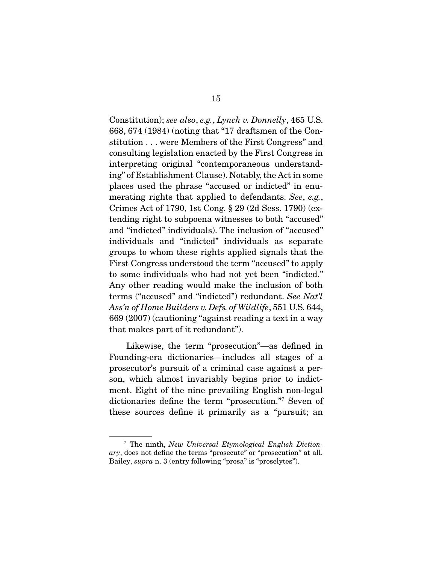Constitution); *see also*, *e.g.*, *Lynch v. Donnelly*, 465 U.S. 668, 674 (1984) (noting that "17 draftsmen of the Constitution . . . were Members of the First Congress" and consulting legislation enacted by the First Congress in interpreting original "contemporaneous understanding" of Establishment Clause). Notably, the Act in some places used the phrase "accused or indicted" in enumerating rights that applied to defendants. *See*, *e.g.*, Crimes Act of 1790, 1st Cong. § 29 (2d Sess. 1790) (extending right to subpoena witnesses to both "accused" and "indicted" individuals). The inclusion of "accused" individuals and "indicted" individuals as separate groups to whom these rights applied signals that the First Congress understood the term "accused" to apply to some individuals who had not yet been "indicted." Any other reading would make the inclusion of both terms ("accused" and "indicted") redundant. *See Nat'l Ass'n of Home Builders v. Defs. of Wildlife*, 551 U.S. 644, 669 (2007) (cautioning "against reading a text in a way that makes part of it redundant").

 Likewise, the term "prosecution"—as defined in Founding-era dictionaries—includes all stages of a prosecutor's pursuit of a criminal case against a person, which almost invariably begins prior to indictment. Eight of the nine prevailing English non-legal dictionaries define the term "prosecution."7 Seven of these sources define it primarily as a "pursuit; an

<sup>7</sup> The ninth, *New Universal Etymological English Dictionary*, does not define the terms "prosecute" or "prosecution" at all. Bailey, *supra* n. 3 (entry following "prosa" is "proselytes").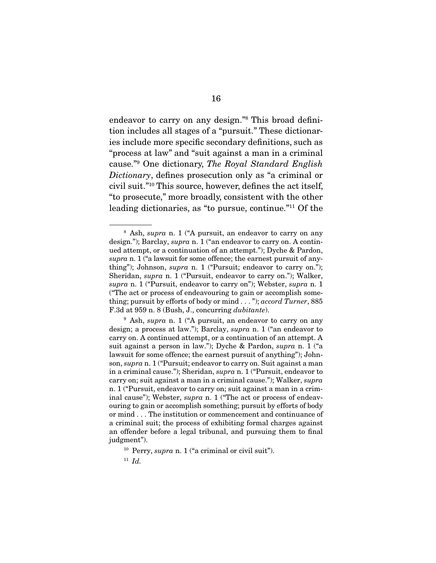endeavor to carry on any design."8 This broad definition includes all stages of a "pursuit." These dictionaries include more specific secondary definitions, such as "process at law" and "suit against a man in a criminal cause."9 One dictionary, *The Royal Standard English Dictionary*, defines prosecution only as "a criminal or civil suit."10 This source, however, defines the act itself, "to prosecute," more broadly, consistent with the other leading dictionaries, as "to pursue, continue."11 Of the

<sup>8</sup> Ash, *supra* n. 1 ("A pursuit, an endeavor to carry on any design."); Barclay, *supra* n. 1 ("an endeavor to carry on. A continued attempt, or a continuation of an attempt."); Dyche & Pardon, *supra* n. 1 ("a lawsuit for some offence; the earnest pursuit of anything"); Johnson, *supra* n. 1 ("Pursuit; endeavor to carry on."); Sheridan, *supra* n. 1 ("Pursuit, endeavor to carry on."); Walker, *supra* n. 1 ("Pursuit, endeavor to carry on"); Webster, *supra* n. 1 ("The act or process of endeavouring to gain or accomplish something; pursuit by efforts of body or mind . . . "); *accord Turner*, 885 F.3d at 959 n. 8 (Bush, J., concurring *dubitante*).

<sup>9</sup> Ash, *supra* n. 1 ("A pursuit, an endeavor to carry on any design; a process at law."); Barclay, *supra* n. 1 ("an endeavor to carry on. A continued attempt, or a continuation of an attempt. A suit against a person in law."); Dyche & Pardon, *supra* n. 1 ("a lawsuit for some offence; the earnest pursuit of anything"); Johnson, *supra* n. 1 ("Pursuit; endeavor to carry on. Suit against a man in a criminal cause."); Sheridan, *supra* n. 1 ("Pursuit, endeavor to carry on; suit against a man in a criminal cause."); Walker, *supra*  n. 1 ("Pursuit, endeavor to carry on; suit against a man in a criminal cause"); Webster, *supra* n. 1 ("The act or process of endeavouring to gain or accomplish something; pursuit by efforts of body or mind . . . The institution or commencement and continuance of a criminal suit; the process of exhibiting formal charges against an offender before a legal tribunal, and pursuing them to final judgment").

<sup>10</sup> Perry, *supra* n. 1 ("a criminal or civil suit").

<sup>11</sup> *Id.*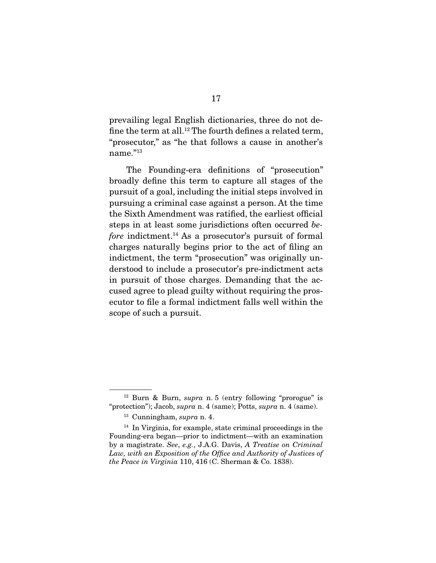prevailing legal English dictionaries, three do not define the term at all.12 The fourth defines a related term, "prosecutor," as "he that follows a cause in another's name."<sup>13</sup>

 The Founding-era definitions of "prosecution" broadly define this term to capture all stages of the pursuit of a goal, including the initial steps involved in pursuing a criminal case against a person. At the time the Sixth Amendment was ratified, the earliest official steps in at least some jurisdictions often occurred *before* indictment.<sup>14</sup> As a prosecutor's pursuit of formal charges naturally begins prior to the act of filing an indictment, the term "prosecution" was originally understood to include a prosecutor's pre-indictment acts in pursuit of those charges. Demanding that the accused agree to plead guilty without requiring the prosecutor to file a formal indictment falls well within the scope of such a pursuit.

<sup>12</sup> Burn & Burn, *supra* n. 5 (entry following "prorogue" is "protection"); Jacob, *supra* n. 4 (same); Potts, *supra* n. 4 (same).

<sup>13</sup> Cunningham, *supra* n. 4.

<sup>&</sup>lt;sup>14</sup> In Virginia, for example, state criminal proceedings in the Founding-era began—prior to indictment—with an examination by a magistrate. *See*, *e.g.*, J.A.G. Davis, *A Treatise on Criminal*  Law, with an Exposition of the Office and Authority of Justices of *the Peace in Virginia* 110, 416 (C. Sherman & Co. 1838).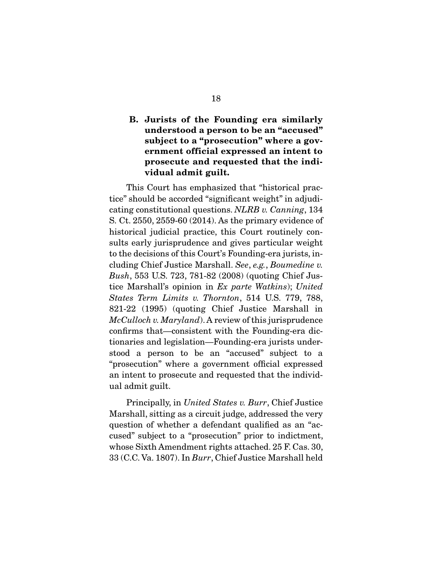## B. Jurists of the Founding era similarly understood a person to be an "accused" subject to a "prosecution" where a government official expressed an intent to prosecute and requested that the individual admit guilt.

 This Court has emphasized that "historical practice" should be accorded "significant weight" in adjudicating constitutional questions. *NLRB v. Canning*, 134 S. Ct. 2550, 2559-60 (2014). As the primary evidence of historical judicial practice, this Court routinely consults early jurisprudence and gives particular weight to the decisions of this Court's Founding-era jurists, including Chief Justice Marshall. *See*, *e.g.*, *Boumedine v. Bush*, 553 U.S. 723, 781-82 (2008) (quoting Chief Justice Marshall's opinion in *Ex parte Watkins*); *United States Term Limits v. Thornton*, 514 U.S. 779, 788, 821-22 (1995) (quoting Chief Justice Marshall in *McCulloch v. Maryland*). A review of this jurisprudence confirms that—consistent with the Founding-era dictionaries and legislation—Founding-era jurists understood a person to be an "accused" subject to a "prosecution" where a government official expressed an intent to prosecute and requested that the individual admit guilt.

 Principally, in *United States v. Burr*, Chief Justice Marshall, sitting as a circuit judge, addressed the very question of whether a defendant qualified as an "accused" subject to a "prosecution" prior to indictment, whose Sixth Amendment rights attached. 25 F. Cas. 30, 33 (C.C. Va. 1807). In *Burr*, Chief Justice Marshall held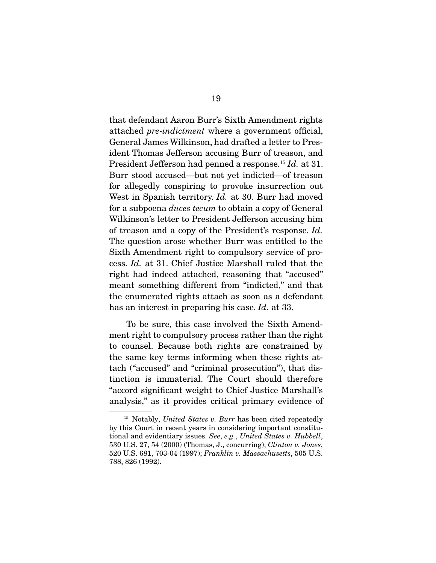that defendant Aaron Burr's Sixth Amendment rights attached *pre-indictment* where a government official, General James Wilkinson, had drafted a letter to President Thomas Jefferson accusing Burr of treason, and President Jefferson had penned a response.15 *Id.* at 31. Burr stood accused—but not yet indicted—of treason for allegedly conspiring to provoke insurrection out West in Spanish territory. *Id.* at 30. Burr had moved for a subpoena *duces tecum* to obtain a copy of General Wilkinson's letter to President Jefferson accusing him of treason and a copy of the President's response. *Id.* The question arose whether Burr was entitled to the Sixth Amendment right to compulsory service of process. *Id.* at 31. Chief Justice Marshall ruled that the right had indeed attached, reasoning that "accused" meant something different from "indicted," and that the enumerated rights attach as soon as a defendant has an interest in preparing his case. *Id.* at 33.

 To be sure, this case involved the Sixth Amendment right to compulsory process rather than the right to counsel. Because both rights are constrained by the same key terms informing when these rights attach ("accused" and "criminal prosecution"), that distinction is immaterial. The Court should therefore "accord significant weight to Chief Justice Marshall's analysis," as it provides critical primary evidence of

<sup>15</sup> Notably, *United States v. Burr* has been cited repeatedly by this Court in recent years in considering important constitutional and evidentiary issues. *See*, *e.g.*, *United States v. Hubbell*, 530 U.S. 27, 54 (2000) (Thomas, J., concurring); *Clinton v. Jones*, 520 U.S. 681, 703-04 (1997); *Franklin v. Massachusetts*, 505 U.S. 788, 826 (1992).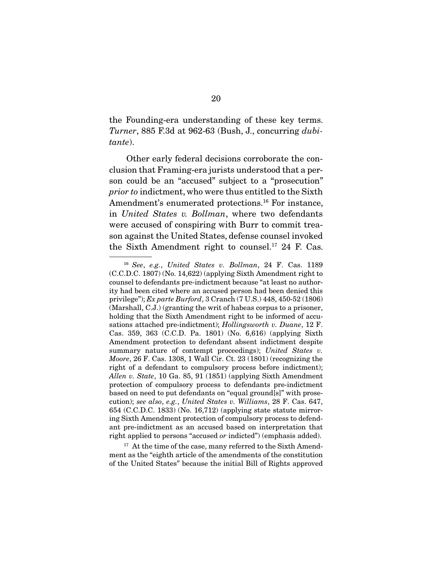the Founding-era understanding of these key terms. *Turner*, 885 F.3d at 962-63 (Bush, J., concurring *dubitante*).

 Other early federal decisions corroborate the conclusion that Framing-era jurists understood that a person could be an "accused" subject to a "prosecution" *prior to* indictment, who were thus entitled to the Sixth Amendment's enumerated protections.<sup>16</sup> For instance, in *United States v. Bollman*, where two defendants were accused of conspiring with Burr to commit treason against the United States, defense counsel invoked the Sixth Amendment right to counsel.17 24 F. Cas.

 $17$  At the time of the case, many referred to the Sixth Amendment as the "eighth article of the amendments of the constitution of the United States" because the initial Bill of Rights approved

<sup>16</sup> *See*, *e.g.*, *United States v. Bollman*, 24 F. Cas. 1189 (C.C.D.C. 1807) (No. 14,622) (applying Sixth Amendment right to counsel to defendants pre-indictment because "at least no authority had been cited where an accused person had been denied this privilege"); *Ex parte Burford*, 3 Cranch (7 U.S.) 448, 450-52 (1806) (Marshall, C.J.) (granting the writ of habeas corpus to a prisoner, holding that the Sixth Amendment right to be informed of accusations attached pre-indictment); *Hollingsworth v. Duane*, 12 F. Cas. 359, 363 (C.C.D. Pa. 1801) (No. 6,616) (applying Sixth Amendment protection to defendant absent indictment despite summary nature of contempt proceedings); *United States v. Moore*, 26 F. Cas. 1308, 1 Wall Cir. Ct. 23 (1801) (recognizing the right of a defendant to compulsory process before indictment); *Allen v. State*, 10 Ga. 85, 91 (1851) (applying Sixth Amendment protection of compulsory process to defendants pre-indictment based on need to put defendants on "equal ground[s]" with prosecution); *see also*, *e.g.*, *United States v. Williams*, 28 F. Cas. 647, 654 (C.C.D.C. 1833) (No. 16,712) (applying state statute mirroring Sixth Amendment protection of compulsory process to defendant pre-indictment as an accused based on interpretation that right applied to persons "accused *or* indicted") (emphasis added).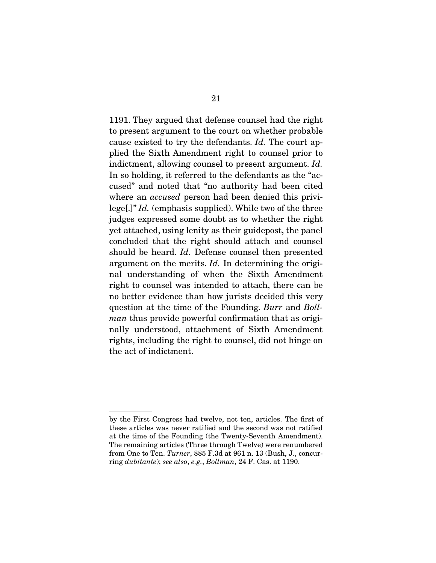1191. They argued that defense counsel had the right to present argument to the court on whether probable cause existed to try the defendants. *Id.* The court applied the Sixth Amendment right to counsel prior to indictment, allowing counsel to present argument. *Id.* In so holding, it referred to the defendants as the "accused" and noted that "no authority had been cited where an *accused* person had been denied this privilege[.]" *Id.* (emphasis supplied). While two of the three judges expressed some doubt as to whether the right yet attached, using lenity as their guidepost, the panel concluded that the right should attach and counsel should be heard. *Id.* Defense counsel then presented argument on the merits. *Id.* In determining the original understanding of when the Sixth Amendment right to counsel was intended to attach, there can be no better evidence than how jurists decided this very question at the time of the Founding. *Burr* and *Bollman* thus provide powerful confirmation that as originally understood, attachment of Sixth Amendment rights, including the right to counsel, did not hinge on the act of indictment.

by the First Congress had twelve, not ten, articles. The first of these articles was never ratified and the second was not ratified at the time of the Founding (the Twenty-Seventh Amendment). The remaining articles (Three through Twelve) were renumbered from One to Ten. *Turner*, 885 F.3d at 961 n. 13 (Bush, J., concurring *dubitante*); *see also*, *e.g.*, *Bollman*, 24 F. Cas. at 1190.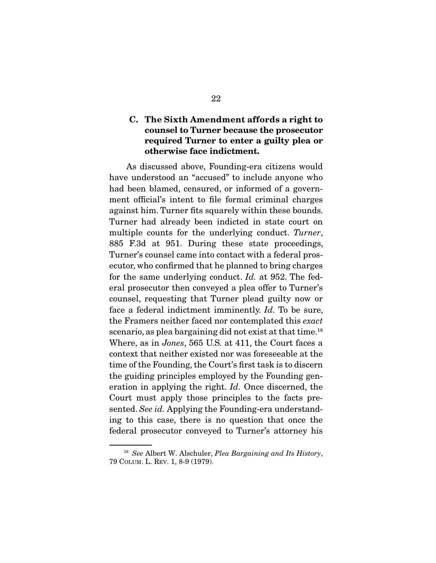### C. The Sixth Amendment affords a right to counsel to Turner because the prosecutor required Turner to enter a guilty plea or otherwise face indictment.

 As discussed above, Founding-era citizens would have understood an "accused" to include anyone who had been blamed, censured, or informed of a government official's intent to file formal criminal charges against him. Turner fits squarely within these bounds. Turner had already been indicted in state court on multiple counts for the underlying conduct. *Turner*, 885 F.3d at 951. During these state proceedings, Turner's counsel came into contact with a federal prosecutor, who confirmed that he planned to bring charges for the same underlying conduct. *Id.* at 952. The federal prosecutor then conveyed a plea offer to Turner's counsel, requesting that Turner plead guilty now or face a federal indictment imminently. *Id.* To be sure, the Framers neither faced nor contemplated this *exact*  scenario, as plea bargaining did not exist at that time.<sup>18</sup> Where, as in *Jones*, 565 U.S. at 411, the Court faces a context that neither existed nor was foreseeable at the time of the Founding, the Court's first task is to discern the guiding principles employed by the Founding generation in applying the right. *Id.* Once discerned, the Court must apply those principles to the facts presented. *See id.* Applying the Founding-era understanding to this case, there is no question that once the federal prosecutor conveyed to Turner's attorney his

<sup>18</sup> *See* Albert W. Alschuler, *Plea Bargaining and Its History*, 79 COLUM. L. REV. 1, 8-9 (1979).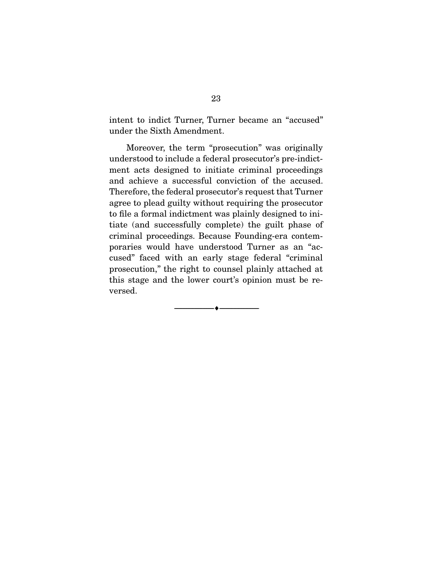intent to indict Turner, Turner became an "accused" under the Sixth Amendment.

 Moreover, the term "prosecution" was originally understood to include a federal prosecutor's pre-indictment acts designed to initiate criminal proceedings and achieve a successful conviction of the accused. Therefore, the federal prosecutor's request that Turner agree to plead guilty without requiring the prosecutor to file a formal indictment was plainly designed to initiate (and successfully complete) the guilt phase of criminal proceedings. Because Founding-era contemporaries would have understood Turner as an "accused" faced with an early stage federal "criminal prosecution," the right to counsel plainly attached at this stage and the lower court's opinion must be reversed.

--------------------------------- ---------------------------------